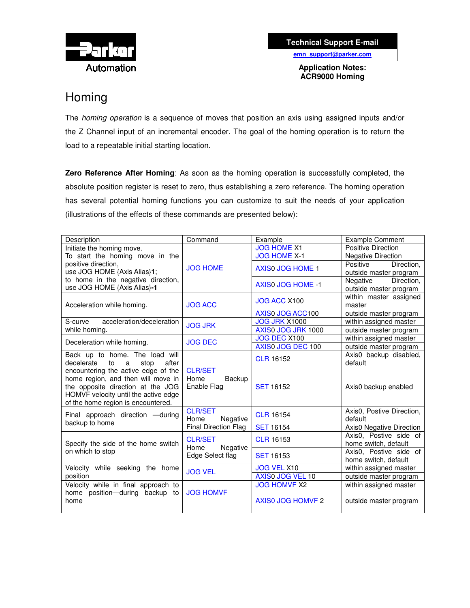

**Technical Support E-mail**

**emn\_support@parker.com**

**Application Notes: ACR9000 Homing**

# Homing

The *homing operation* is a sequence of moves that position an axis using assigned inputs and/or the Z Channel input of an incremental encoder. The goal of the homing operation is to return the load to a repeatable initial starting location.

**Zero Reference After Homing**: As soon as the homing operation is successfully completed, the absolute position register is reset to zero, thus establishing a zero reference. The homing operation has several potential homing functions you can customize to suit the needs of your application (illustrations of the effects of these commands are presented below):

| Description                                                              | Command                                                           | Example                  | <b>Example Comment</b>    |  |
|--------------------------------------------------------------------------|-------------------------------------------------------------------|--------------------------|---------------------------|--|
| Initiate the homing move.                                                | <b>JOG HOME</b>                                                   | <b>JOG HOME X1</b>       | <b>Positive Direction</b> |  |
| To start the homing move in the                                          |                                                                   | <b>JOG HOME X-1</b>      | <b>Negative Direction</b> |  |
| positive direction,                                                      |                                                                   | <b>AXISO JOG HOME 1</b>  | Positive<br>Direction,    |  |
| use JOG HOME {Axis Alias}1;                                              |                                                                   |                          | outside master program    |  |
| to home in the negative direction,                                       |                                                                   | <b>AXISO JOG HOME -1</b> | Negative<br>Direction,    |  |
| use JOG HOME {Axis Alias}-1                                              |                                                                   |                          | outside master program    |  |
| Acceleration while homing.                                               | <b>JOG ACC</b>                                                    | JOG ACC X100             | within master assigned    |  |
|                                                                          |                                                                   |                          | master                    |  |
|                                                                          |                                                                   | AXIS0 JOG ACC100         | outside master program    |  |
| acceleration/deceleration<br>S-curve                                     | <b>JOG JRK</b>                                                    | <b>JOG JRK X1000</b>     | within assigned master    |  |
| while homing.                                                            |                                                                   | AXIS0 JOG JRK 1000       | outside master program    |  |
| Deceleration while homing.                                               | <b>JOG DEC</b>                                                    | JOG DEC X100             | within assigned master    |  |
|                                                                          |                                                                   | AXIS0 JOG DEC 100        | outside master program    |  |
| Back up to home. The load will<br>decelerate<br>after<br>to<br>a<br>stop | <b>CLR/SET</b><br>Home<br>Backup<br>Enable Flag                   | <b>CLR 16152</b>         | Axis0 backup disabled,    |  |
|                                                                          |                                                                   |                          | default                   |  |
| encountering the active edge of the                                      |                                                                   | <b>SET 16152</b>         |                           |  |
| home region, and then will move in                                       |                                                                   |                          |                           |  |
| the opposite direction at the JOG                                        |                                                                   |                          | Axis0 backup enabled      |  |
| HOMVF velocity until the active edge                                     |                                                                   |                          |                           |  |
| of the home region is encountered.                                       |                                                                   |                          |                           |  |
| Final approach direction - during                                        | <b>CLR/SET</b><br>Negative<br>Home<br><b>Final Direction Flag</b> | <b>CLR 16154</b>         | Axis0, Postive Direction, |  |
| backup to home                                                           |                                                                   |                          | default                   |  |
|                                                                          |                                                                   | <b>SET 16154</b>         | Axis0 Negative Direction  |  |
| Specify the side of the home switch<br>on which to stop                  | <b>CLR/SET</b>                                                    | <b>CLR 16153</b>         | Axis0, Postive side of    |  |
|                                                                          | Negative<br>Home                                                  |                          | home switch, default      |  |
|                                                                          | Edge Select flag                                                  | <b>SET 16153</b>         | Axis0, Postive side of    |  |
|                                                                          |                                                                   |                          | home switch, default      |  |
| Velocity while seeking the home                                          | <b>JOG VEL</b>                                                    | <b>JOG VEL X10</b>       | within assigned master    |  |
| position                                                                 |                                                                   | AXIS0 JOG VEL 10         | outside master program    |  |
| Velocity while in final approach to                                      |                                                                   | <b>JOG HOMVF X2</b>      | within assigned master    |  |
| home position-during backup to                                           | <b>JOG HOMVF</b>                                                  | <b>AXISO JOG HOMVF 2</b> |                           |  |
| home                                                                     |                                                                   |                          | outside master program    |  |
|                                                                          |                                                                   |                          |                           |  |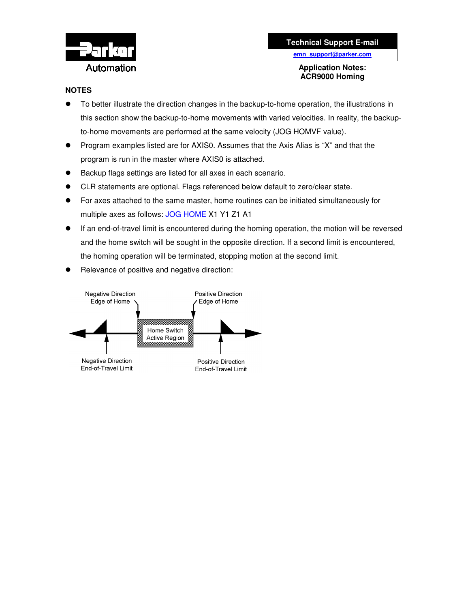

## **Application Notes: ACR9000 Homing**

## **NOTES**

- To better illustrate the direction changes in the backup-to-home operation, the illustrations in this section show the backup-to-home movements with varied velocities. In reality, the backupto-home movements are performed at the same velocity (JOG HOMVF value).
- Program examples listed are for AXIS0. Assumes that the Axis Alias is "X" and that the program is run in the master where AXIS0 is attached.
- Backup flags settings are listed for all axes in each scenario.
- CLR statements are optional. Flags referenced below default to zero/clear state.
- For axes attached to the same master, home routines can be initiated simultaneously for multiple axes as follows: JOG HOME X1 Y1 Z1 A1
- If an end-of-travel limit is encountered during the homing operation, the motion will be reversed and the home switch will be sought in the opposite direction. If a second limit is encountered, the homing operation will be terminated, stopping motion at the second limit.
- Relevance of positive and negative direction:

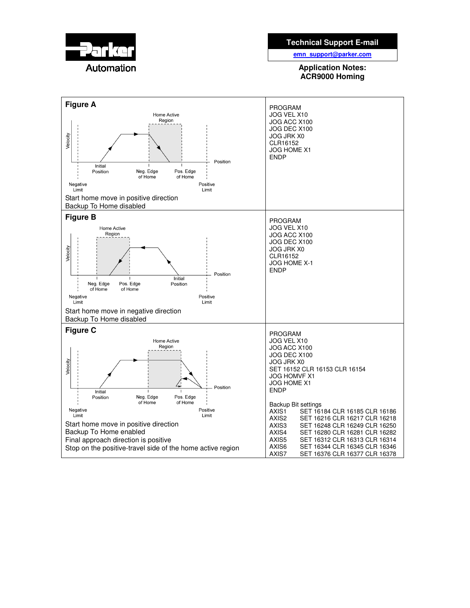

## **Technical Support E-mail**

**emn\_support@parker.com**

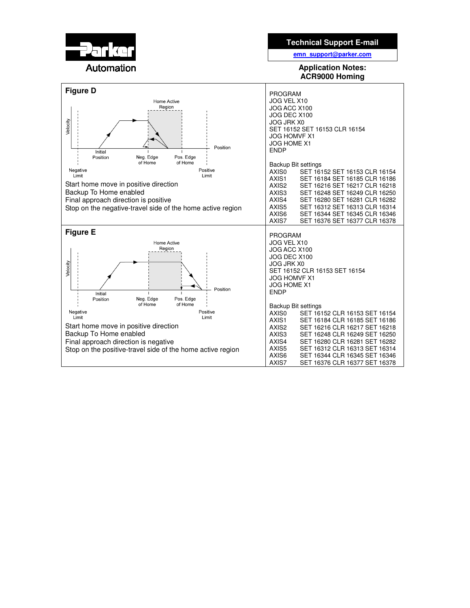

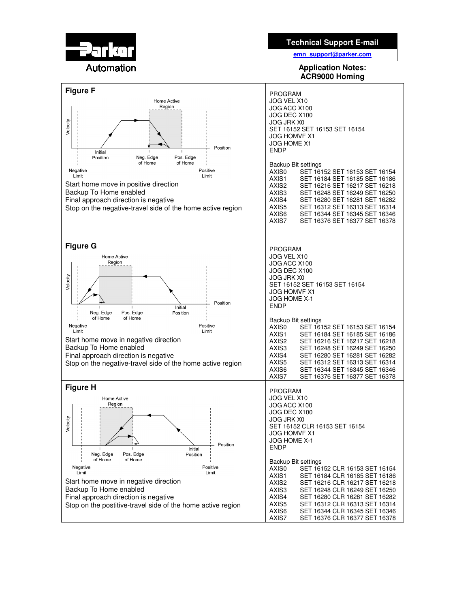

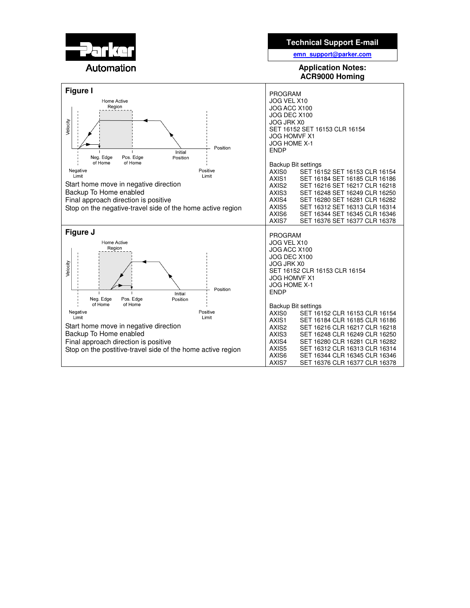

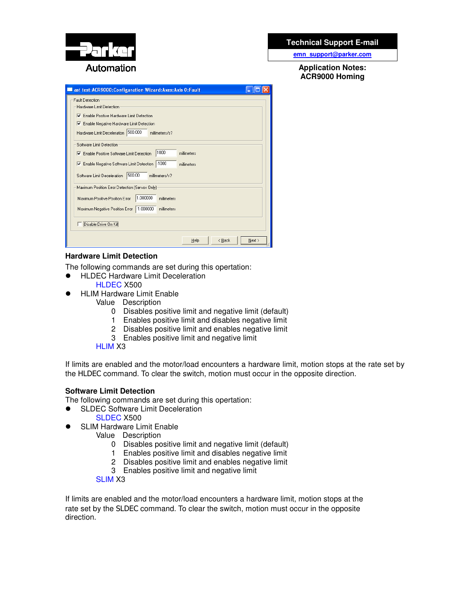

## **Technical Support E-mail**

**emn\_support@parker.com**

**Application Notes: ACR9000 Homing**

| ast test:ACR9000:Configuration Wizard:Axes:Axis 0:Fault                                                                                                                                                                      |  |  |  |  |
|------------------------------------------------------------------------------------------------------------------------------------------------------------------------------------------------------------------------------|--|--|--|--|
| <b>Fault Detection</b><br>Hardware Limit Detection<br>Enable Positive Hardware Limit Detection<br>⊽<br>Enable Negative Hardware Limit Detection<br>Hardware Limit Deceleration 500.000<br>millimeters/s?                     |  |  |  |  |
| Software Limit Detection<br>1000<br>millimeters<br>Enable Positive Software Limit Detection<br>$-1000$<br>Enable Negative Software Limit Detection<br>millimeters<br>500.00<br>Software Limit Deceleration<br>millimeters/s? |  |  |  |  |
| Maximum Position Error Detection (Servos Only)<br>1.000000<br>Maximum Positive Position Error<br>millimeters<br>$-1.000000$<br>Maximum Negative Position Error<br>millimeters<br>Disable Drive On Kill                       |  |  |  |  |
| < Back<br>Next ><br>Help                                                                                                                                                                                                     |  |  |  |  |

## **Hardware Limit Detection**

The following commands are set during this opertation:

- **•** HLDEC Hardware Limit Deceleration
	- HLDEC X500
- HLIM Hardware Limit Enable
	- Value Description
		- 0 Disables positive limit and negative limit (default)
		- 1 Enables positive limit and disables negative limit
		- 2 Disables positive limit and enables negative limit
		- 3 Enables positive limit and negative limit

#### HLIM X3

If limits are enabled and the motor/load encounters a hardware limit, motion stops at the rate set by the HLDEC command. To clear the switch, motion must occur in the opposite direction.

## **Software Limit Detection**

The following commands are set during this opertation:

SLDEC Software Limit Deceleration

### SLDEC X500

- SLIM Hardware Limit Enable
	- Value Description
		- 0 Disables positive limit and negative limit (default)
		- 1 Enables positive limit and disables negative limit
		- 2 Disables positive limit and enables negative limit
		- 3 Enables positive limit and negative limit

#### SLIM X3

If limits are enabled and the motor/load encounters a hardware limit, motion stops at the rate set by the SLDEC command. To clear the switch, motion must occur in the opposite direction.